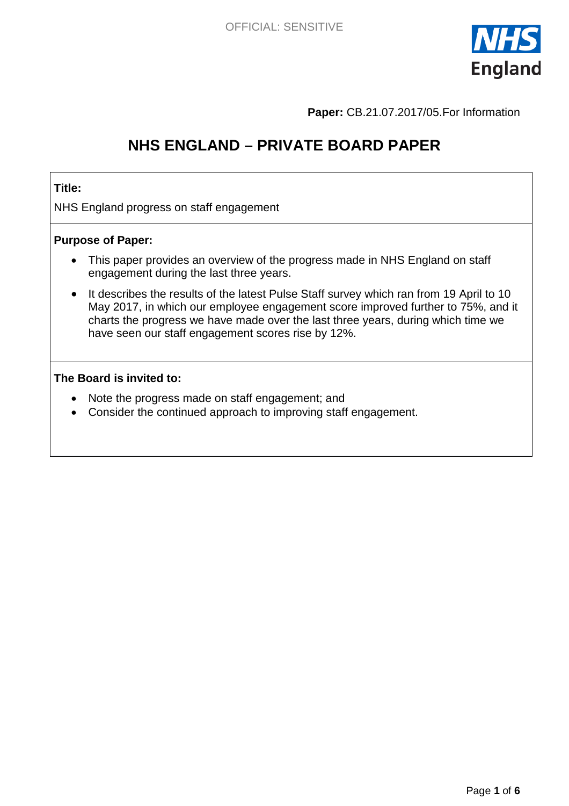

**Paper:** CB.21.07.2017/05.For Information

# **NHS ENGLAND – PRIVATE BOARD PAPER**

### **Title:**

NHS England progress on staff engagement

#### **Purpose of Paper:**

- This paper provides an overview of the progress made in NHS England on staff engagement during the last three years.
- It describes the results of the latest Pulse Staff survey which ran from 19 April to 10 May 2017, in which our employee engagement score improved further to 75%, and it charts the progress we have made over the last three years, during which time we have seen our staff engagement scores rise by 12%.

#### **The Board is invited to:**

- Note the progress made on staff engagement; and
- <span id="page-0-0"></span>• Consider the continued approach to improving staff engagement.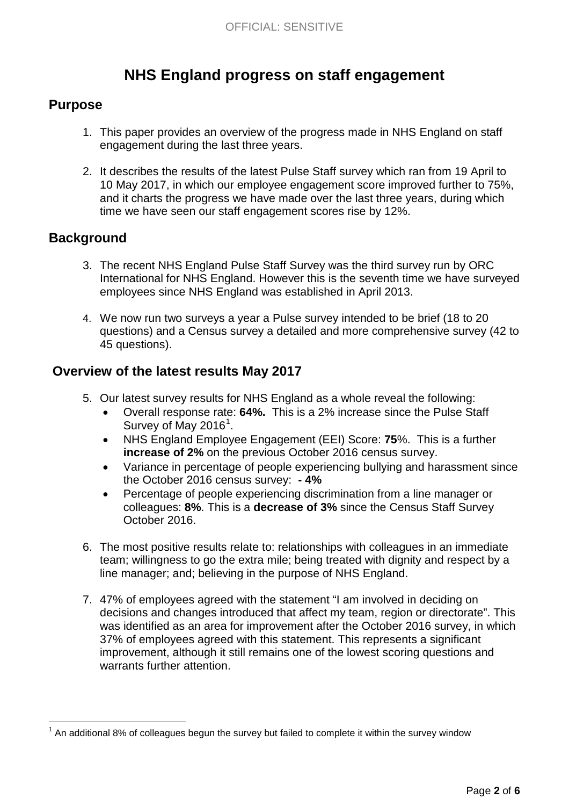# **NHS England progress on staff engagement**

### **Purpose**

- 1. This paper provides an overview of the progress made in NHS England on staff engagement during the last three years.
- 2. It describes the results of the latest Pulse Staff survey which ran from 19 April to 10 May 2017, in which our employee engagement score improved further to 75%, and it charts the progress we have made over the last three years, during which time we have seen our staff engagement scores rise by 12%.

### **Background**

- 3. The recent NHS England Pulse Staff Survey was the third survey run by ORC International for NHS England. However this is the seventh time we have surveyed employees since NHS England was established in April 2013.
- 4. We now run two surveys a year a Pulse survey intended to be brief (18 to 20 questions) and a Census survey a detailed and more comprehensive survey (42 to 45 questions).

### **Overview of the latest results May 2017**

- 5. Our latest survey results for NHS England as a whole reveal the following:
	- Overall response rate: **64%.** This is a 2% increase since the Pulse Staff Survey of May 20[1](#page-0-0)6<sup>1</sup>.
	- NHS England Employee Engagement (EEI) Score: **75**%. This is a further **increase of 2%** on the previous October 2016 census survey.
	- Variance in percentage of people experiencing bullying and harassment since the October 2016 census survey: **- 4%**
	- Percentage of people experiencing discrimination from a line manager or colleagues: **8%**. This is a **decrease of 3%** since the Census Staff Survey October 2016.
- 6. The most positive results relate to: relationships with colleagues in an immediate team; willingness to go the extra mile; being treated with dignity and respect by a line manager; and; believing in the purpose of NHS England.
- 7. 47% of employees agreed with the statement "I am involved in deciding on decisions and changes introduced that affect my team, region or directorate". This was identified as an area for improvement after the October 2016 survey, in which 37% of employees agreed with this statement. This represents a significant improvement, although it still remains one of the lowest scoring questions and warrants further attention.

 $<sup>1</sup>$  An additional 8% of colleagues begun the survey but failed to complete it within the survey window</sup>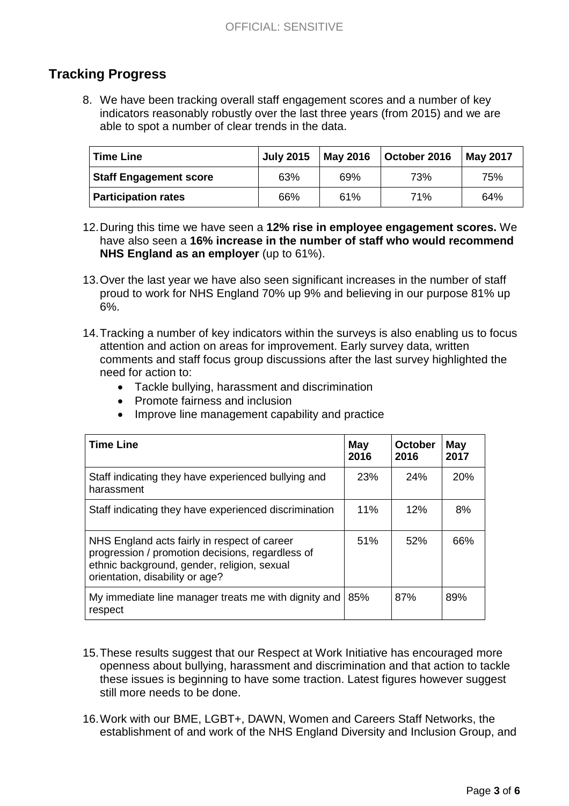# **Tracking Progress**

8. We have been tracking overall staff engagement scores and a number of key indicators reasonably robustly over the last three years (from 2015) and we are able to spot a number of clear trends in the data.

| <b>Time Line</b>              | <b>July 2015</b> | <b>May 2016</b> | October 2016 | <b>May 2017</b> |
|-------------------------------|------------------|-----------------|--------------|-----------------|
| <b>Staff Engagement score</b> | 63%              | 69%             | 73%          | 75%             |
| <b>Participation rates</b>    | 66%              | 61%             | 71%          | 64%             |

- 12.During this time we have seen a **12% rise in employee engagement scores.** We have also seen a **16% increase in the number of staff who would recommend NHS England as an employer** (up to 61%).
- 13.Over the last year we have also seen significant increases in the number of staff proud to work for NHS England 70% up 9% and believing in our purpose 81% up 6%.
- 14.Tracking a number of key indicators within the surveys is also enabling us to focus attention and action on areas for improvement. Early survey data, written comments and staff focus group discussions after the last survey highlighted the need for action to:
	- Tackle bullying, harassment and discrimination
	- Promote fairness and inclusion
	- Improve line management capability and practice

| <b>Time Line</b>                                                                                                                                                                   | May<br>2016 | <b>October</b><br>2016 | May<br>2017 |
|------------------------------------------------------------------------------------------------------------------------------------------------------------------------------------|-------------|------------------------|-------------|
| Staff indicating they have experienced bullying and<br>harassment                                                                                                                  | 23%         | 24%                    | 20%         |
| Staff indicating they have experienced discrimination                                                                                                                              | 11%         | 12%                    | 8%          |
| NHS England acts fairly in respect of career<br>progression / promotion decisions, regardless of<br>ethnic background, gender, religion, sexual<br>orientation, disability or age? |             | 52%                    | 66%         |
| My immediate line manager treats me with dignity and<br>respect                                                                                                                    | 85%         | 87%                    | 89%         |

- 15.These results suggest that our Respect at Work Initiative has encouraged more openness about bullying, harassment and discrimination and that action to tackle these issues is beginning to have some traction. Latest figures however suggest still more needs to be done.
- 16.Work with our BME, LGBT+, DAWN, Women and Careers Staff Networks, the establishment of and work of the NHS England Diversity and Inclusion Group, and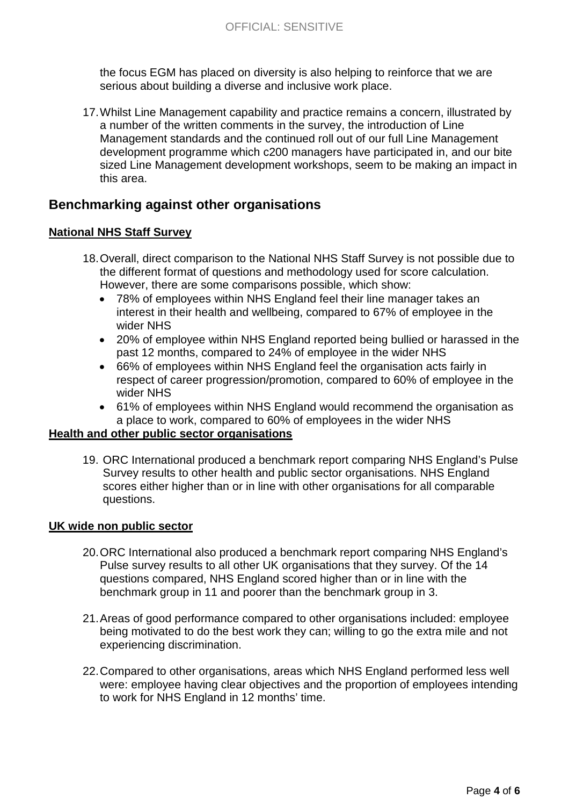the focus EGM has placed on diversity is also helping to reinforce that we are serious about building a diverse and inclusive work place.

17.Whilst Line Management capability and practice remains a concern, illustrated by a number of the written comments in the survey, the introduction of Line Management standards and the continued roll out of our full Line Management development programme which c200 managers have participated in, and our bite sized Line Management development workshops, seem to be making an impact in this area.

### **Benchmarking against other organisations**

### **National NHS Staff Survey**

- 18.Overall, direct comparison to the National NHS Staff Survey is not possible due to the different format of questions and methodology used for score calculation. However, there are some comparisons possible, which show:
	- 78% of employees within NHS England feel their line manager takes an interest in their health and wellbeing, compared to 67% of employee in the wider NHS
	- 20% of employee within NHS England reported being bullied or harassed in the past 12 months, compared to 24% of employee in the wider NHS
	- 66% of employees within NHS England feel the organisation acts fairly in respect of career progression/promotion, compared to 60% of employee in the wider NHS
	- 61% of employees within NHS England would recommend the organisation as a place to work, compared to 60% of employees in the wider NHS

#### **Health and other public sector organisations**

19. ORC International produced a benchmark report comparing NHS England's Pulse Survey results to other health and public sector organisations. NHS England scores either higher than or in line with other organisations for all comparable questions.

#### **UK wide non public sector**

- 20.ORC International also produced a benchmark report comparing NHS England's Pulse survey results to all other UK organisations that they survey. Of the 14 questions compared, NHS England scored higher than or in line with the benchmark group in 11 and poorer than the benchmark group in 3.
- 21.Areas of good performance compared to other organisations included: employee being motivated to do the best work they can; willing to go the extra mile and not experiencing discrimination.
- 22.Compared to other organisations, areas which NHS England performed less well were: employee having clear objectives and the proportion of employees intending to work for NHS England in 12 months' time.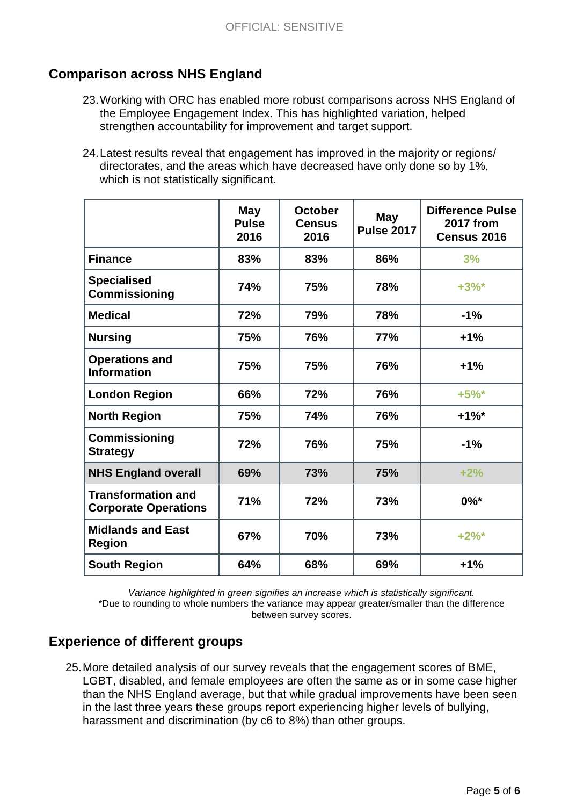# **Comparison across NHS England**

- 23.Working with ORC has enabled more robust comparisons across NHS England of the Employee Engagement Index. This has highlighted variation, helped strengthen accountability for improvement and target support.
- 24.Latest results reveal that engagement has improved in the majority or regions/ directorates, and the areas which have decreased have only done so by 1%, which is not statistically significant.

|                                                          | <b>May</b><br><b>Pulse</b><br>2016 | <b>October</b><br><b>Census</b><br>2016 | May<br><b>Pulse 2017</b> | <b>Difference Pulse</b><br><b>2017 from</b><br>Census 2016 |
|----------------------------------------------------------|------------------------------------|-----------------------------------------|--------------------------|------------------------------------------------------------|
| <b>Finance</b>                                           | 83%                                | 83%                                     | 86%                      | 3%                                                         |
| <b>Specialised</b><br><b>Commissioning</b>               | 74%                                | 75%                                     | 78%                      | $+3%$                                                      |
| <b>Medical</b>                                           | 72%                                | 79%                                     | 78%                      | $-1%$                                                      |
| <b>Nursing</b>                                           | 75%                                | 76%                                     | <b>77%</b>               | $+1%$                                                      |
| <b>Operations and</b><br><b>Information</b>              | 75%                                | 75%                                     | 76%                      | $+1%$                                                      |
| <b>London Region</b>                                     | 66%                                | 72%                                     | 76%                      | $+5%$                                                      |
| <b>North Region</b>                                      | 75%                                | 74%                                     | 76%                      | $+1\%$ *                                                   |
| <b>Commissioning</b><br><b>Strategy</b>                  | 72%                                | 76%                                     | 75%                      | $-1%$                                                      |
| <b>NHS England overall</b>                               | 69%                                | 73%                                     | 75%                      | $+2%$                                                      |
| <b>Transformation and</b><br><b>Corporate Operations</b> | 71%                                | 72%                                     | 73%                      | $0\%$ *                                                    |
| <b>Midlands and East</b><br><b>Region</b>                | 67%                                | 70%                                     | 73%                      | $+2\%$ *                                                   |
| <b>South Region</b>                                      | 64%                                | 68%                                     | 69%                      | $+1%$                                                      |

*Variance highlighted in green signifies an increase which is statistically significant.* \*Due to rounding to whole numbers the variance may appear greater/smaller than the difference between survey scores.

## **Experience of different groups**

25.More detailed analysis of our survey reveals that the engagement scores of BME, LGBT, disabled, and female employees are often the same as or in some case higher than the NHS England average, but that while gradual improvements have been seen in the last three years these groups report experiencing higher levels of bullying, harassment and discrimination (by c6 to 8%) than other groups.